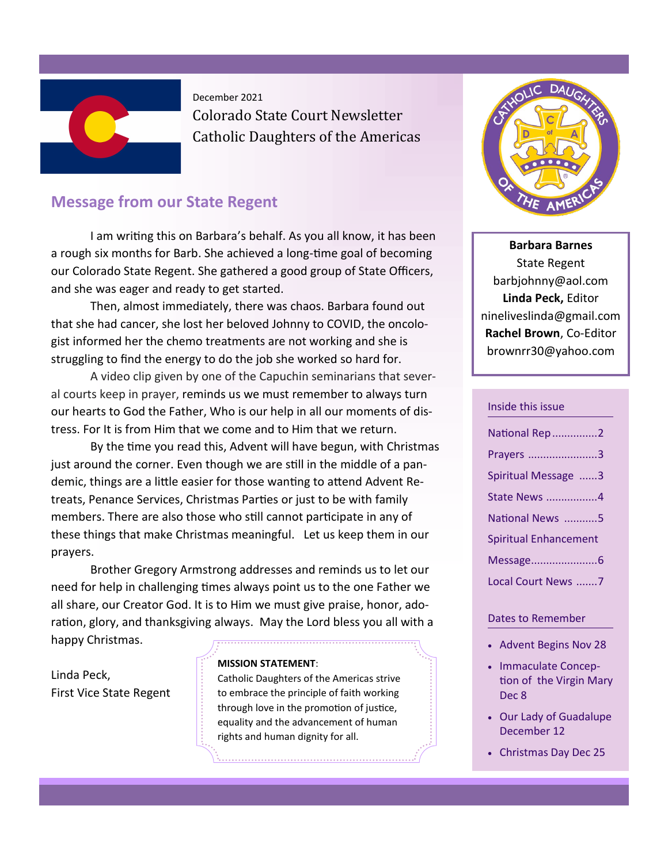

December 2021

Colorado State Court Newsletter Catholic Daughters of the Americas

# **Message from our State Regent**

I am writing this on Barbara's behalf. As you all know, it has been a rough six months for Barb. She achieved a long-time goal of becoming our Colorado State Regent. She gathered a good group of State Officers, and she was eager and ready to get started.

Then, almost immediately, there was chaos. Barbara found out that she had cancer, she lost her beloved Johnny to COVID, the oncologist informed her the chemo treatments are not working and she is struggling to find the energy to do the job she worked so hard for.

A video clip given by one of the Capuchin seminarians that several courts keep in prayer, reminds us we must remember to always turn our hearts to God the Father, Who is our help in all our moments of distress. For It is from Him that we come and to Him that we return.

By the time you read this, Advent will have begun, with Christmas just around the corner. Even though we are still in the middle of a pandemic, things are a little easier for those wanting to attend Advent Retreats, Penance Services, Christmas Parties or just to be with family members. There are also those who still cannot participate in any of these things that make Christmas meaningful. Let us keep them in our prayers.

Brother Gregory Armstrong addresses and reminds us to let our need for help in challenging times always point us to the one Father we all share, our Creator God. It is to Him we must give praise, honor, adoration, glory, and thanksgiving always. May the Lord bless you all with a happy Christmas.

Linda Peck, First Vice State Regent

#### **MISSION STATEMENT**:

Catholic Daughters of the Americas strive to embrace the principle of faith working through love in the promotion of justice, equality and the advancement of human rights and human dignity for all.



**Barbara Barnes** State Regent barbjohnny@aol.com **Linda Peck,** Editor nineliveslinda@gmail.com **Rachel Brown**, Co-Editor brownrr30@yahoo.com

#### Inside this issue

| National Rep 2        |
|-----------------------|
| Prayers 3             |
| Spiritual Message 3   |
| State News 4          |
| National News 5       |
| Spiritual Enhancement |
|                       |
| Local Court News 7    |

#### Dates to Remember

- Advent Begins Nov 28
- Immaculate Conception of the Virgin Mary Dec 8
- Our Lady of Guadalupe December 12
- Christmas Day Dec 25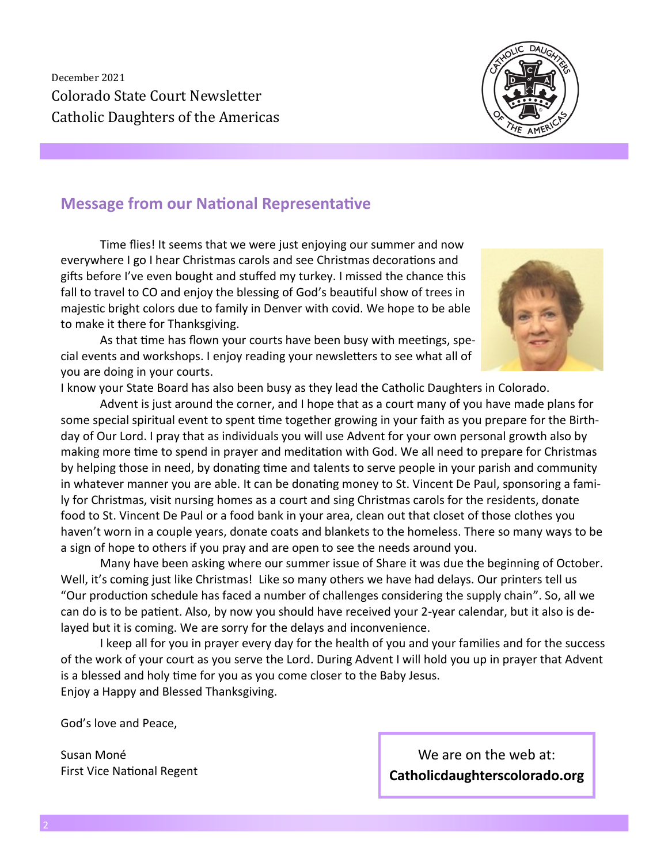December 2021 Colorado State Court Newsletter Catholic Daughters of the Americas



# **Message from our National Representative**

Time flies! It seems that we were just enjoying our summer and now everywhere I go I hear Christmas carols and see Christmas decorations and gifts before I've even bought and stuffed my turkey. I missed the chance this fall to travel to CO and enjoy the blessing of God's beautiful show of trees in majestic bright colors due to family in Denver with covid. We hope to be able to make it there for Thanksgiving.

As that time has flown your courts have been busy with meetings, special events and workshops. I enjoy reading your newsletters to see what all of you are doing in your courts.

I know your State Board has also been busy as they lead the Catholic Daughters in Colorado.

Advent is just around the corner, and I hope that as a court many of you have made plans for some special spiritual event to spent time together growing in your faith as you prepare for the Birthday of Our Lord. I pray that as individuals you will use Advent for your own personal growth also by making more time to spend in prayer and meditation with God. We all need to prepare for Christmas by helping those in need, by donating time and talents to serve people in your parish and community in whatever manner you are able. It can be donating money to St. Vincent De Paul, sponsoring a family for Christmas, visit nursing homes as a court and sing Christmas carols for the residents, donate food to St. Vincent De Paul or a food bank in your area, clean out that closet of those clothes you haven't worn in a couple years, donate coats and blankets to the homeless. There so many ways to be a sign of hope to others if you pray and are open to see the needs around you.

Many have been asking where our summer issue of Share it was due the beginning of October. Well, it's coming just like Christmas! Like so many others we have had delays. Our printers tell us "Our production schedule has faced a number of challenges considering the supply chain". So, all we can do is to be patient. Also, by now you should have received your 2-year calendar, but it also is delayed but it is coming. We are sorry for the delays and inconvenience.

I keep all for you in prayer every day for the health of you and your families and for the success of the work of your court as you serve the Lord. During Advent I will hold you up in prayer that Advent is a blessed and holy time for you as you come closer to the Baby Jesus. Enjoy a Happy and Blessed Thanksgiving.

God's love and Peace,

Susan Moné First Vice National Regent

We are on the web at: **Catholicdaughterscolorado.org**

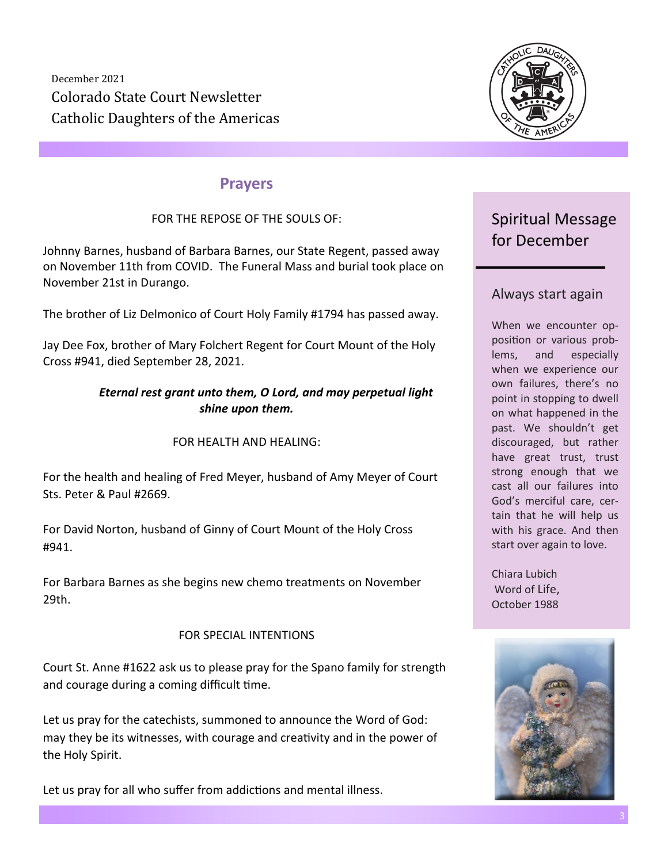December 2021 Colorado State Court Newsletter Catholic Daughters of the Americas



# **Prayers**

### FOR THE REPOSE OF THE SOULS OF:

Johnny Barnes, husband of Barbara Barnes, our State Regent, passed away on November 11th from COVID. The Funeral Mass and burial took place on November 21st in Durango.

The brother of Liz Delmonico of Court Holy Family #1794 has passed away.

Jay Dee Fox, brother of Mary Folchert Regent for Court Mount of the Holy Cross #941, died September 28, 2021.

#### *Eternal rest grant unto them, O Lord, and may perpetual light shine upon them.*

#### FOR HEALTH AND HEALING:

For the health and healing of Fred Meyer, husband of Amy Meyer of Court Sts. Peter & Paul #2669.

For David Norton, husband of Ginny of Court Mount of the Holy Cross #941.

For Barbara Barnes as she begins new chemo treatments on November 29th.

#### FOR SPECIAL INTENTIONS

Court St. Anne #1622 ask us to please pray for the Spano family for strength and courage during a coming difficult time.

Let us pray for the catechists, summoned to announce the Word of God: may they be its witnesses, with courage and creativity and in the power of the Holy Spirit.

Let us pray for all who suffer from addictions and mental illness.

# Spiritual Message for December

# Always start again

When we encounter opposition or various problems, and especially when we experience our own failures, there's no point in stopping to dwell on what happened in the past. We shouldn't get discouraged, but rather have great trust, trust strong enough that we cast all our failures into God's merciful care, certain that he will help us with his grace. And then start over again to love.

Chiara Lubich Word of Life, October 1988

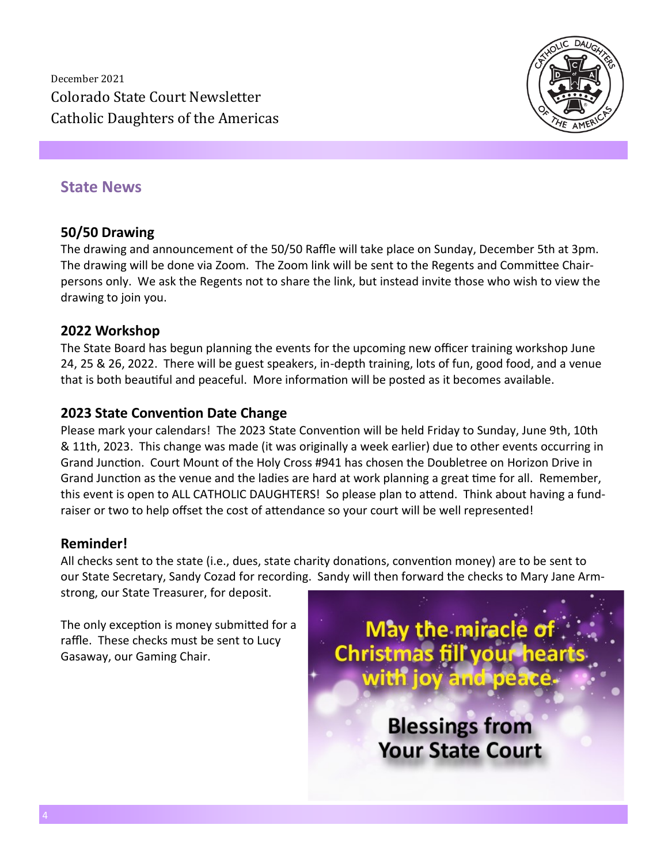December 2021 Colorado State Court Newsletter Catholic Daughters of the Americas



# **State News**

### **50/50 Drawing**

The drawing and announcement of the 50/50 Raffle will take place on Sunday, December 5th at 3pm. The drawing will be done via Zoom. The Zoom link will be sent to the Regents and Committee Chairpersons only. We ask the Regents not to share the link, but instead invite those who wish to view the drawing to join you.

#### **2022 Workshop**

The State Board has begun planning the events for the upcoming new officer training workshop June 24, 25 & 26, 2022. There will be guest speakers, in-depth training, lots of fun, good food, and a venue that is both beautiful and peaceful. More information will be posted as it becomes available.

#### **2023 State Convention Date Change**

Please mark your calendars! The 2023 State Convention will be held Friday to Sunday, June 9th, 10th & 11th, 2023. This change was made (it was originally a week earlier) due to other events occurring in Grand Junction. Court Mount of the Holy Cross #941 has chosen the Doubletree on Horizon Drive in Grand Junction as the venue and the ladies are hard at work planning a great time for all. Remember, this event is open to ALL CATHOLIC DAUGHTERS! So please plan to attend. Think about having a fundraiser or two to help offset the cost of attendance so your court will be well represented!

#### **Reminder!**

All checks sent to the state (i.e., dues, state charity donations, convention money) are to be sent to our State Secretary, Sandy Cozad for recording. Sandy will then forward the checks to Mary Jane Arm-

strong, our State Treasurer, for deposit.

The only exception is money submitted for a raffle. These checks must be sent to Lucy Gasaway, our Gaming Chair.

May the miracle o **Christmas fill your heart** with joy and peace **Blessings from Your State Court**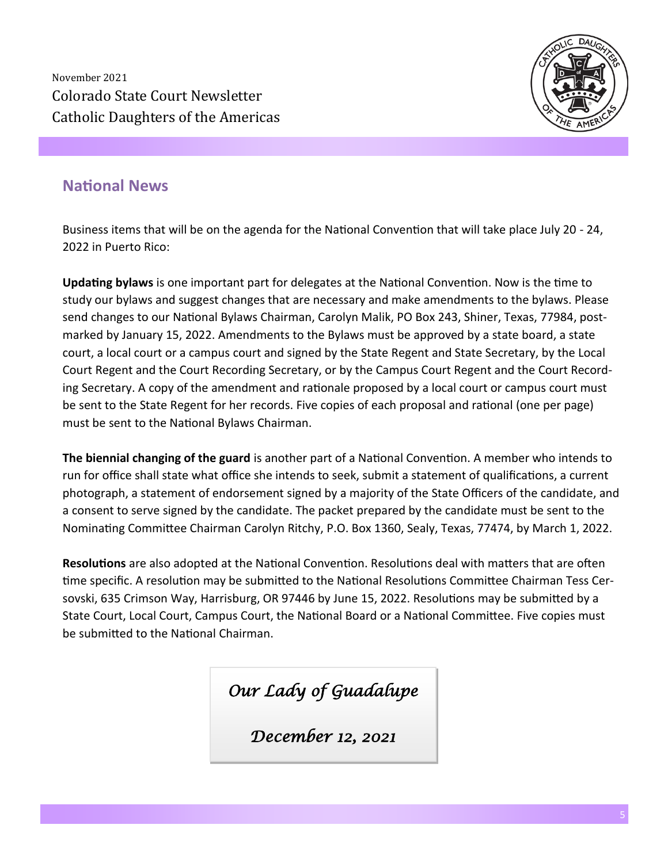November 2021 Colorado State Court Newsletter Catholic Daughters of the Americas



# **National News**

Business items that will be on the agenda for the National Convention that will take place July 20 - 24, 2022 in Puerto Rico:

**Updating bylaws** is one important part for delegates at the National Convention. Now is the time to study our bylaws and suggest changes that are necessary and make amendments to the bylaws. Please send changes to our National Bylaws Chairman, Carolyn Malik, PO Box 243, Shiner, Texas, 77984, postmarked by January 15, 2022. Amendments to the Bylaws must be approved by a state board, a state court, a local court or a campus court and signed by the State Regent and State Secretary, by the Local Court Regent and the Court Recording Secretary, or by the Campus Court Regent and the Court Recording Secretary. A copy of the amendment and rationale proposed by a local court or campus court must be sent to the State Regent for her records. Five copies of each proposal and rational (one per page) must be sent to the National Bylaws Chairman.

**The biennial changing of the guard** is another part of a National Convention. A member who intends to run for office shall state what office she intends to seek, submit a statement of qualifications, a current photograph, a statement of endorsement signed by a majority of the State Officers of the candidate, and a consent to serve signed by the candidate. The packet prepared by the candidate must be sent to the Nominating Committee Chairman Carolyn Ritchy, P.O. Box 1360, Sealy, Texas, 77474, by March 1, 2022.

**Resolutions** are also adopted at the National Convention. Resolutions deal with matters that are often time specific. A resolution may be submitted to the National Resolutions Committee Chairman Tess Cersovski, 635 Crimson Way, Harrisburg, OR 97446 by June 15, 2022. Resolutions may be submitted by a State Court, Local Court, Campus Court, the National Board or a National Committee. Five copies must be submitted to the National Chairman.

*Our Lady of Guadalupe* 

*December 12, 2021*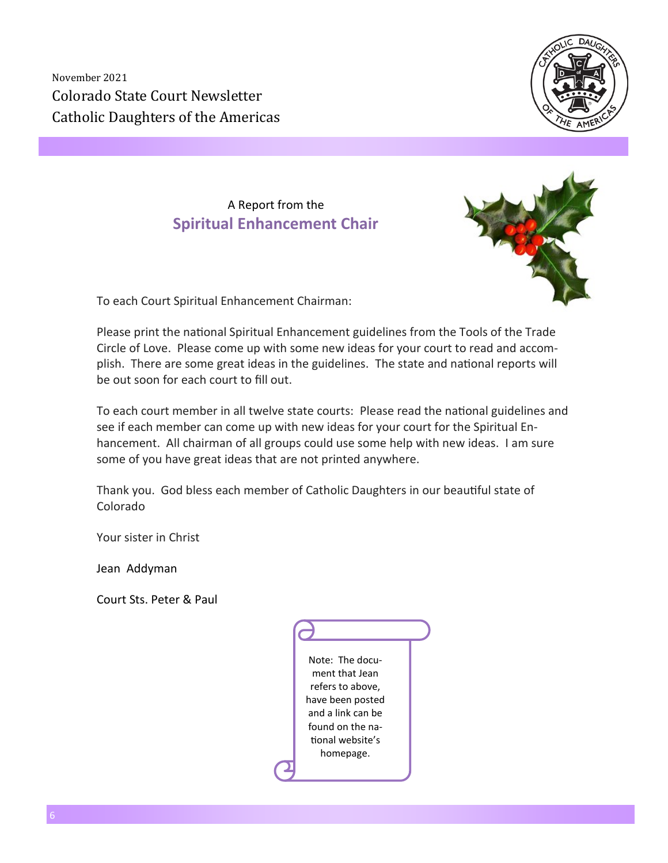November 2021 Colorado State Court Newsletter Catholic Daughters of the Americas



A Report from the **Spiritual Enhancement Chair**



To each Court Spiritual Enhancement Chairman:

Please print the national Spiritual Enhancement guidelines from the Tools of the Trade Circle of Love. Please come up with some new ideas for your court to read and accomplish. There are some great ideas in the guidelines. The state and national reports will be out soon for each court to fill out.

To each court member in all twelve state courts: Please read the national guidelines and see if each member can come up with new ideas for your court for the Spiritual Enhancement. All chairman of all groups could use some help with new ideas. I am sure some of you have great ideas that are not printed anywhere.

Thank you. God bless each member of Catholic Daughters in our beautiful state of Colorado

Your sister in Christ

Jean Addyman

Court Sts. Peter & Paul